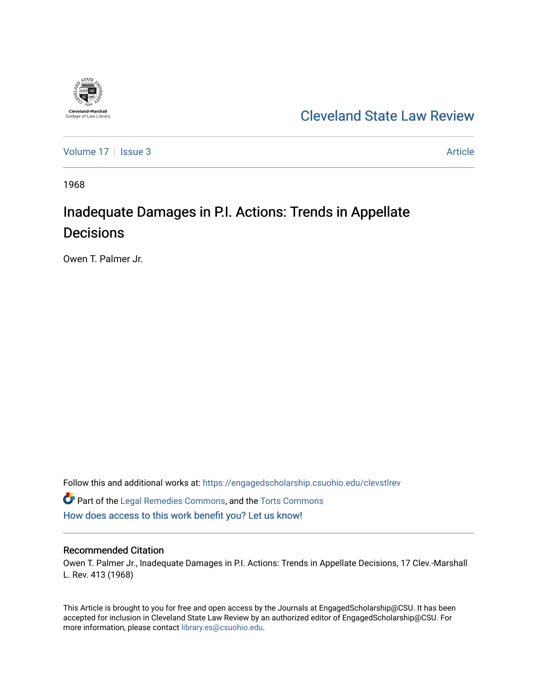

## [Cleveland State Law Review](https://engagedscholarship.csuohio.edu/clevstlrev)

[Volume 17](https://engagedscholarship.csuohio.edu/clevstlrev/vol17) | [Issue 3](https://engagedscholarship.csuohio.edu/clevstlrev/vol17/iss3) Article

1968

# Inadequate Damages in P.I. Actions: Trends in Appellate Decisions

Owen T. Palmer Jr.

Follow this and additional works at: [https://engagedscholarship.csuohio.edu/clevstlrev](https://engagedscholarship.csuohio.edu/clevstlrev?utm_source=engagedscholarship.csuohio.edu%2Fclevstlrev%2Fvol17%2Fiss3%2F2&utm_medium=PDF&utm_campaign=PDFCoverPages)

Part of the [Legal Remedies Commons,](http://network.bepress.com/hgg/discipline/618?utm_source=engagedscholarship.csuohio.edu%2Fclevstlrev%2Fvol17%2Fiss3%2F2&utm_medium=PDF&utm_campaign=PDFCoverPages) and the [Torts Commons](http://network.bepress.com/hgg/discipline/913?utm_source=engagedscholarship.csuohio.edu%2Fclevstlrev%2Fvol17%2Fiss3%2F2&utm_medium=PDF&utm_campaign=PDFCoverPages) [How does access to this work benefit you? Let us know!](http://library.csuohio.edu/engaged/)

#### Recommended Citation

Owen T. Palmer Jr., Inadequate Damages in P.I. Actions: Trends in Appellate Decisions, 17 Clev.-Marshall L. Rev. 413 (1968)

This Article is brought to you for free and open access by the Journals at EngagedScholarship@CSU. It has been accepted for inclusion in Cleveland State Law Review by an authorized editor of EngagedScholarship@CSU. For more information, please contact [library.es@csuohio.edu](mailto:library.es@csuohio.edu).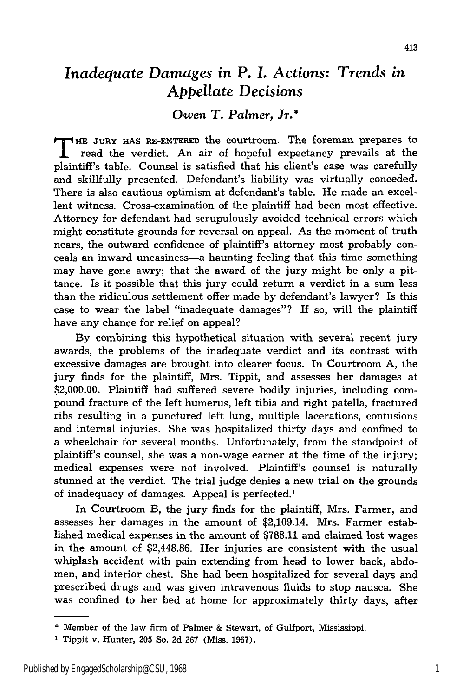### *Inadequate Damages in P. I. Actions: Trends in* Appellate *Decisions*

#### *Owen T. Palmer, Jr.\**

**T HE JURY HAS RE-ENTERED** the courtroom. The foreman prepares to read the verdict. An air of hopeful expectancy prevails at the plaintiff's table. Counsel is satisfied that his client's case was carefully and skillfully presented. Defendant's liability was virtually conceded. There is also cautious optimism at defendant's table. He made an excellent witness. Cross-examination of the plaintiff had been most effective. Attorney for defendant had scrupulously avoided technical errors which might constitute grounds for reversal on appeal. As the moment of truth nears, the outward confidence of plaintiff's attorney most probably conceals an inward uneasiness-a haunting feeling that this time something may have gone awry; that the award of the jury might be only a pittance. Is it possible that this jury could return a verdict in a sum less than the ridiculous settlement offer made **by** defendant's lawyer? Is this case to wear the label "inadequate damages"? If so, will the plaintiff have any chance for relief on appeal?

**By** combining this hypothetical situation with several recent jury awards, the problems of the inadequate verdict and its contrast with excessive damages are brought into clearer focus. In Courtroom **A,** the jury finds for the plaintiff, Mrs. Tippit, and assesses her damages at \$2,000.00. Plaintiff had suffered severe bodily injuries, including compound fracture of the left humerus, left tibia and right patella, fractured ribs resulting in a punctured left lung, multiple lacerations, contusions and internal injuries. She was hospitalized thirty days and confined to a wheelchair for several months. Unfortunately, from the standpoint of plaintiff's counsel, she was a non-wage earner at the time of the injury; medical expenses were not involved. Plaintiff's counsel is naturally stunned at the verdict. The trial judge denies a new trial on the grounds of inadequacy of damages. Appeal is perfected.'

In Courtroom B, the jury finds for the plaintiff, Mrs. Farmer, and assesses her damages in the amount of \$2,109.14. Mrs. Farmer established medical expenses in the amount of \$788.11 and claimed lost wages in the amount of \$2,448.86. Her injuries are consistent with the usual whiplash accident with pain extending from head to lower back, abdomen, and interior chest. She had been hospitalized for several days and prescribed drugs and was given intravenous fluids to stop nausea. She was confined to her bed at home for approximately thirty days, after

<sup>\*</sup>Member of the law firm of Palmer & Stewart, of Gulfport, Mississippi.

<sup>1</sup> Tippit v. Hunter, 205 So. 2d 267 (Miss. 1967).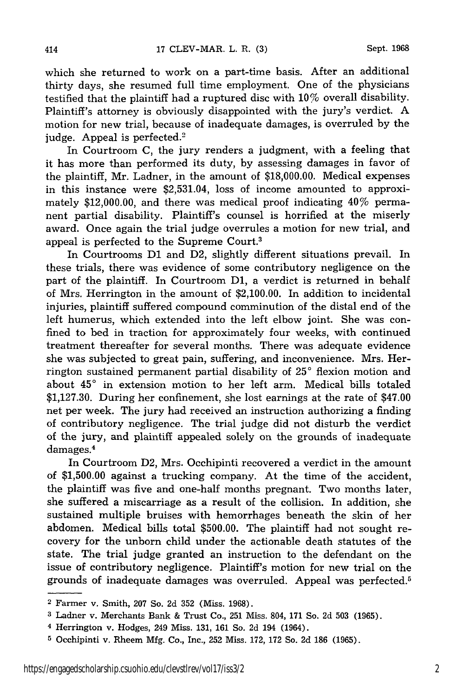414

which she returned to work on a part-time basis. After an additional thirty days, she resumed full time employment. One of the physicians testified that the plaintiff had a ruptured disc with 10% overall disability. Plaintiff's attorney is obviously disappointed with the jury's verdict. A motion for new trial, because of inadequate damages, is overruled by the judge. Appeal is perfected.<sup>2</sup>

In Courtroom C, the jury renders a judgment, with a feeling that it has more than performed its duty, by assessing damages in favor of the plaintiff, Mr. Ladner, in the amount of \$18,000.00. Medical expenses in this instance were \$2,531.04, loss of income amounted to approximately \$12,000.00, and there was medical proof indicating 40% permanent partial disability. Plaintiff's counsel is horrified at the miserly award. Once again the trial judge overrules a motion for new trial, and appeal is perfected to the Supreme Court.<sup>3</sup>

In Courtrooms **D1** and D2, slightly different situations prevail. In these trials, there was evidence of some contributory negligence on the part of the plaintiff. In Courtroom **D1,** a verdict is returned in behalf of Mrs. Herrington in the amount of \$2,100.00. In addition to incidental injuries, plaintiff suffered compound comminution of the distal end of the left humerus, which extended into the left elbow joint. She was confined to bed in traction for approximately four weeks, with continued treatment thereafter for several months. There was adequate evidence she was subjected to great pain, suffering, and inconvenience. Mrs. Herrington sustained permanent partial disability of **250** flexion motion and about **450** in extension motion to her left arm. Medical bills totaled \$1,127.30. During her confinement, she lost earnings at the rate of \$47.00 net per week. The jury had received an instruction authorizing a finding of contributory negligence. The trial judge did not disturb the verdict of the jury, and plaintiff appealed solely on the grounds of inadequate damages. <sup>4</sup>

In Courtroom D2, Mrs. Occhipinti recovered a verdict in the amount of \$1,500.00 against a trucking company. At the time of the accident, the plaintiff was five and one-half months pregnant. Two months later, she suffered a miscarriage as a result of the collision. In addition, she sustained multiple bruises with hemorrhages beneath the skin of her abdomen. Medical bills total \$500.00. The plaintiff had not sought recovery for the unborn child under the actionable death statutes of the state. The trial judge granted an instruction to the defendant on the issue of contributory negligence. Plaintiff's motion for new trial on the grounds of inadequate damages was overruled. Appeal was perfected. <sup>5</sup>

<sup>2</sup> Farmer v. Smith, 207 So. 2d 352 (Miss. 1968).

**<sup>3</sup>**Ladner v. Merchants Bank & Trust Co., 251 Miss. 804, 171 So. 2d 503 (1965).

<sup>4</sup> Herrington v. Hodges, 249 Miss. 131, 161 So. 2d 194 (1964).

**<sup>5</sup>**Occhipinti v. Rheem Mfg. Co., Inc., 252 Miss. 172, 172 So. 2d 186 (1965).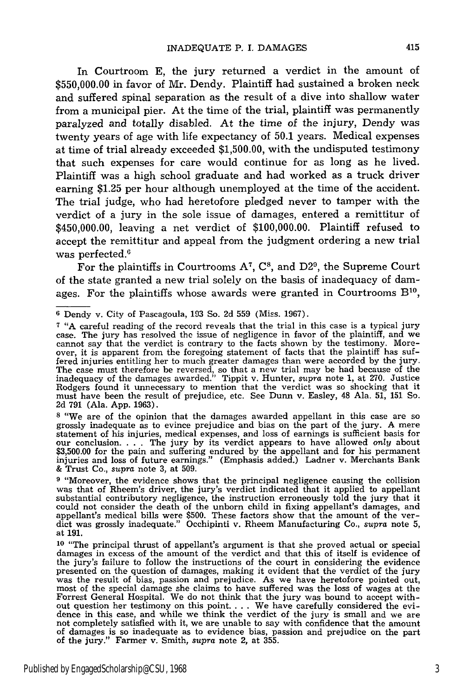In Courtroom E, the jury returned a verdict in the amount of \$550,000.00 in favor of Mr. Dendy. Plaintiff had sustained a broken neck and suffered spinal separation as the result of a dive into shallow water from a municipal pier. At the time of the trial, plaintiff was permanently paralyzed and totally disabled. At the time of the injury, Dendy was twenty years of age with life expectancy of 50.1 years. Medical expenses at time of trial already exceeded \$1,500.00, with the undisputed testimony that such expenses for care would continue for as long as he lived. Plaintiff was a high school graduate and had worked as a truck driver earning \$1.25 per hour although unemployed at the time of the accident. The trial judge, who had heretofore pledged never to tamper with the verdict of a jury in the sole issue of damages, entered a remittitur of \$450,000.00, leaving a net verdict of \$100,000.00. Plaintiff refused to accept the remittitur and appeal from the judgment ordering a new trial was perfected.<sup>6</sup>

For the plaintiffs in Courtrooms A<sup>7</sup>, C<sup>8</sup>, and D2<sup>9</sup>, the Supreme Court of the state granted a new trial solely on the basis of inadequacy of damages. For the plaintiffs whose awards were granted in Courtrooms  $B^{10}$ ,

**<sup>8</sup>**"We are of the opinion that the damages awarded appellant in this case are so grossly inadequate as to evince prejudice and bias on the part of the jury. A mere statement of his injuries, medical expenses, and loss of earnings is sufficient basis for our conclusion **....** The jury by its verdict appears to have allowed only about \$3,500.00 for the pain and suffering endured by the appellant and for his permanent injuries and loss of future earnings." (Emphasis added.) Ladner v. Merchants Bank & Trust Co., *supra* note 3, at 509.

**9** "Moreover, the evidence shows that the principal negligence causing the collision was that of Rheem's driver, the jury's verdict indicated that it applied to appellant substantial contributory negligence, the instruction erroneously told the jury that it could not consider the death of the unborn child in fixing appellant's damages, and<br>appellant's medical bills were \$500. These factors show that the amount of the ver-<br>dict was grossly inadequate." Occhipinti v. Rheem Manu at 191.

**<sup>10</sup>**"The principal thrust of appellant's argument is that she proved actual or special damages in excess of the amount of the verdict and that this of itself is evidence of the jury's failure to follow the instructions of the court in considering the evidence presented on the question of damages, making it evident that the verdict of the jury presence on the result of bias, passion and prejudice. As we have heretofore pointed out,<br>most of the special damage she claims to have suffered was the loss of wages at the Forrest General Hospital. We do not think that the jury was bound to accept without question her testimony on this point **....** We have carefully considered the evi-dence in this case, and while we think the verdict of the jury is small and we are not completely satisfied with it, we are unable to say with confidence that the amount of damages is so inadequate as to evidence bias, passion and prejudice on the part of the jury." Farmer v. Smith, *supra* note 2, at 355.

**<sup>6</sup>**Dendy v. City of Pascagoula, 193 So. 2d 559 (Miss. 1967).

**<sup>7</sup>**"A careful reading of the record reveals that the trial in this case is a typical jury case. The jury has resolved the issue of negligence in favor of the plaintiff, and we cannot say that the verdict is contrary to the facts shown by the testimony. More-<br>over, it is apparent from the foregoing statement of facts that the plaintiff has suf-<br>fered injuries entitling her to much greater damages The case must therefore be reversed, so that a new trial may be had because of the inadequacy of the damages awarded." Tippit v. Hunter, *supra* note 1, at 270. Justice Rodgers found it unnecessary to mention that the verdict was so shocking that it must have been the result of prejudice, etc. See Dunn v. Easley, 48 Ala. 51, 151 So. 2d 791 (Ala. App. 1963).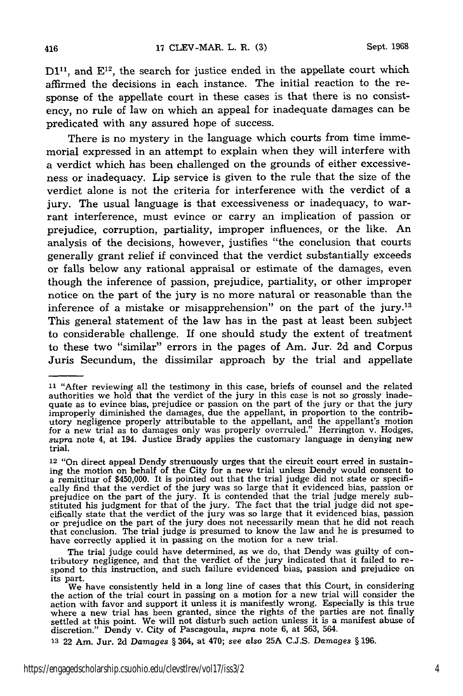$D1<sup>11</sup>$ , and  $E<sup>12</sup>$ , the search for justice ended in the appellate court which affirmed the decisions in each instance. The initial reaction to the response of the appellate court in these cases is that there is no consistency, no rule of law on which an appeal for inadequate damages can be predicated with any assured hope of success.

There is no mystery in the language which courts from time immemorial expressed in an attempt to explain when they will interfere with a verdict which has been challenged on the grounds of either excessiveness or inadequacy. Lip service is given to the rule that the size of the verdict alone is not the criteria for interference with the verdict of a jury. The usual language is that excessiveness or inadequacy, to warrant interference, must evince or carry an implication of passion or prejudice, corruption, partiality, improper influences, or the like. An analysis of the decisions, however, justifies "the conclusion that courts generally grant relief if convinced that the verdict substantially exceeds or falls below any rational appraisal or estimate of the damages, even though the inference of passion, prejudice, partiality, or other improper notice on the part of the jury is no more natural or reasonable than the inference of a mistake or misapprehension" on the part of the jury.<sup>13</sup> This general statement of the law has in the past at least been subject to considerable challenge. If one should study the extent of treatment to these two "similar" errors in the pages of Am. Jur. 2d and Corpus Juris Secundum, the dissimilar approach by the trial and appellate

**<sup>13</sup>**22 Am. Jur. 2d *Damages* § 364, at 470; see also **25A** C.J.S. *Damages* § 196.

**<sup>11</sup>**"After reviewing all the testimony in this case, briefs of counsel and the related authorities we hold that the verdict of the jury in this case is not so grossly inade-<br>quate as to evince bias, prejudice or passion on the part of the jury or that the jury<br>improperly diminished the damages, due the appel utory negligence properly attributable to the appellant, and the appellant's motion for a new trial as to damages only was properly overruled." Herrington v. Hodges, *supra* note 4, at 194. Justice Brady applies the customary language in denying new trial.

<sup>12 &</sup>quot;On direct appeal Dendy strenuously urges that the circuit court erred in sustaining the motion on behalf of the City for a new trial unless Dendy would consent to a remittitur of \$450,000. It is pointed out that the trial judge did not state or specifically find that the verdict of the jury was so large that it evidenced bias, passion or prejudice on the part of the jury. It is contended that the trial judge merely substituted his judgment for that of the jury. The fact that the trial judge did not specifically state that the verdict of the jury was so large that it evidenced bias, passion or prejudice on the part of the jury does not necessarily mean that he did not reach that conclusion. The trial judge is presumed to know the law and he is presumed to have correctly applied it in passing on the motion for a new trial.

The trial judge could have determined, as we do, that Dendy was guilty of contributory negligence, and that the verdict of the jury indicated that it failed to re-spond to this instruction, and such failure evidenced bias, passion and prejudice on its part.

We have consistently held in a long line of cases that this Court, in considering the action of the trial court in passing on a motion for a new trial will consider the action with favor and support it unless it is manifestly wrong. Especially is this true where a new trial has been granted, since the rights of the parties are not finally settled at this point. We will not disturb such action unless it is a manifest abuse of discretion." Dendy v. City of Pascagoula, *supra* note 6, at 563, 564.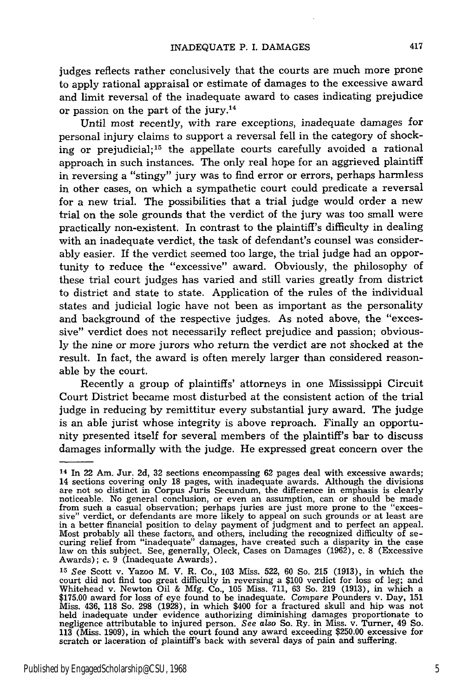judges reflects rather conclusively that the courts are much more prone to apply rational appraisal or estimate of damages to the excessive award and limit reversal of the inadequate award to cases indicating prejudice or passion on the part of the jury.14

Until most recently, with rare exceptions, inadequate damages for personal injury claims to support a reversal fell in the category of shocking or prejudicial;<sup>15</sup> the appellate courts carefully avoided a rational approach in such instances. The only real hope for an aggrieved plaintiff in reversing a "stingy" jury was to find error or errors, perhaps harmless in other cases, on which a sympathetic court could predicate a reversal for a new trial. The possibilities that a trial judge would order a new trial on the sole grounds that the verdict of the jury was too small were practically non-existent. In contrast to the plaintiff's difficulty in dealing with an inadequate verdict, the task of defendant's counsel was considerably easier. If the verdict seemed too large, the trial judge had an opportunity to reduce the "excessive" award. Obviously, the philosophy of these trial court judges has varied and still varies greatly from district to district and state to state. Application of the rules of the individual states and judicial logic have not been as important as the personality and background of the respective judges. As noted above, the "excessive" verdict does not necessarily reflect prejudice and passion; obviously the nine or more jurors who return the verdict are not shocked at the result. In fact, the award is often merely larger than considered reasonable by the court.

Recently a group of plaintiffs' attorneys in one Mississippi Circuit Court District became most disturbed at the consistent action of the trial judge in reducing by remittitur every substantial jury award. The judge is an able jurist whose integrity is above reproach. Finally an opportunity presented itself for several members of the plaintiff's bar to discuss damages informally with the judge. He expressed great concern over the

<sup>14</sup> In 22 Am. Jur. 2d, 32 sections encompassing 62 pages deal with excessive awards; 14 sections covering only 18 pages, with inadequate awards. Although the divisions are not so distinct in Corpus Juris Secundum, the difference in emphasis is clearly noticeable. No general conclusion, or even an assumptio from such a casual observation; perhaps juries are just more prone to the "exces-<br>sive" verdict, or defendants are more likely to appeal on such grounds or at least are sive" verdict, or defendants are more likely to appeal on such grounds or at least are in a better financial position to delay payment of judgment and to perfect an appeal. Most probably all these factors, and others, including the recognized difficulty of se-<br>curing relief from "inadequate" damages, have created such a disparity in the case<br>law on this subject. See, generally, Oleck, Cases o Awards); c. 9 (Inadequate Awards).

*<sup>15</sup>See* Scott v. Yazoo M. V. R. Co., 103 Miss. 522, 60 So. 215 (1913), in which the court did not find too great difficulty in reversing a \$100 verdict for loss of leg; and Whitehead v. Newton Oil & Mfg. Co., 105 Miss. 711, 63 So. 219 (1913), in which a<br>\$175.00 award for loss of eye found to be inadequate. Compare Pounders v. Day, 151<br>Miss. 436, 118 So. 298 (1928), in which \$400 for a fractur held inadequate under evidence authorizing diminishing damages proportionate to negligence attributable to injured person. *See also* So. Ry. in Miss. v. Turner, 49 So. 113 (Miss. 1909), in which the court found any award exceeding \$250.00 excessive for scratch or laceration of plaintiff's back with several days of pain and suffering.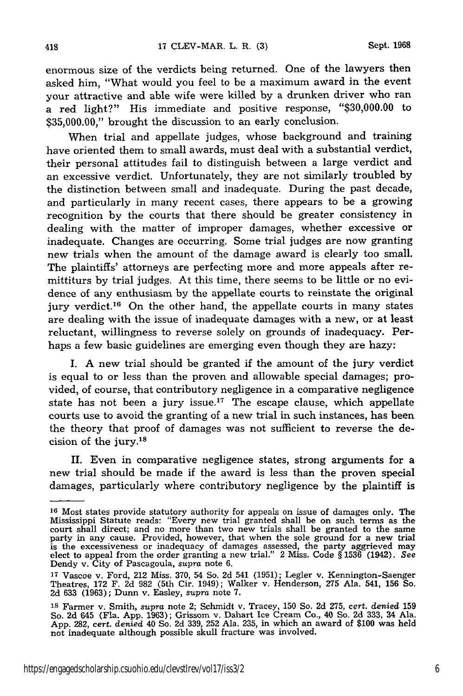enormous size of the verdicts being returned. One of the lawyers then asked him, "What would you feel to be a maximum award in the event your attractive and able wife were killed by a drunken driver who ran a red light?" His immediate and positive response, "\$30,000.00 to \$35,000.00," brought the discussion to an early conclusion.

When trial and appellate judges, whose background and training have oriented them to small awards, must deal with a substantial verdict, their personal attitudes fail to distinguish between a large verdict and an excessive verdict. Unfortunately, they are not similarly troubled by the distinction between small and inadequate. During the past decade, and particularly in many recent cases, there appears to be a growing recognition by the courts that there should be greater consistency in dealing with the matter of improper damages, whether excessive or inadequate. Changes are occurring. Some trial judges are now granting new trials when the amount of the damage award is clearly too small. The plaintiffs' attorneys are perfecting more and more appeals after remittiturs by trial judges. At this time, there seems to be little or no evidence of any enthusiasm by the appellate courts to reinstate the original jury verdict.<sup>16</sup> On the other hand, the appellate courts in many states are dealing with the issue of inadequate damages with a new, or at least reluctant, willingness to reverse solely on grounds of inadequacy. Perhaps a few basic guidelines are emerging even though they are hazy:

I. A new trial should be granted if the amount of the jury verdict is equal to or less than the proven and allowable special damages; provided, of course, that contributory negligence in a comparative negligence state has not been a jury issue.<sup>17</sup> The escape clause, which appellate courts use to avoid the granting of a new trial in such instances, has been the theory that proof of damages was not sufficient to reverse the decision of the jury. $^{18}$ 

II. Even in comparative negligence states, strong arguments for a new trial should be made if the award is less than the proven special damages, particularly where contributory negligence by the plaintiff is

**<sup>16</sup>**Most states provide statutory authority for appeals on issue of damages only. The Mississippi Statute reads: "Every new trial granted shall be on such terms as the court shall direct; and no more than two new trials shall be granted to the same<br>party in any cause. Provided, however, that when the sole ground for a new trial<br>is the excessiveness or inadequacy of damages assessed, the elect to appeal from the order granting a new trial." 2 Miss. Code § 1536 (1942). *See* Dendy v. City of Pascagoula, supra note 6.

**<sup>17</sup>**Vascoe v. Ford, 212 Miss. 370, 54 So. 2d 541 (1951); Legler v. Kennington-Saenger Theatres, 172 F. 2d 982 (5th Cir. 1949); Walker v. Henderson, 275 Ala. 541, **156** So. 2d **633** (1963); Dunn v. Easley, *supra* note 7.

**<sup>18</sup>**Farmer v. Smith, *supra* note 2; Schmidt v. Tracey, 150 So. 2d 275, *cert. denied* <sup>159</sup> So. 2d 645 (Fla. App. 1963); Grissom v. Dahart Ice Cream Co., 40 So. 2d **333,** 34 Ala. App. 282, *cert. denied* 40 So. 2d 339, 252 Ala. 235, in which an award of \$100 was held not inadequate although possible skull fracture was involved.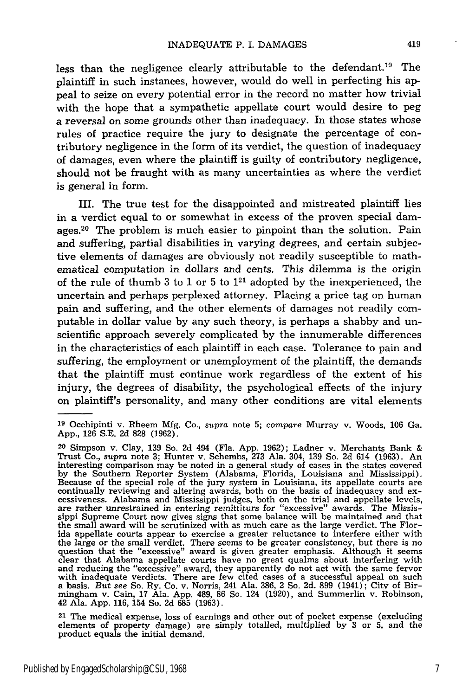less than the negligence clearly attributable to the defendant.19 The plaintiff in such instances, however, would do well in perfecting his appeal to seize on every potential error in the record no matter how trivial with the hope that a sympathetic appellate court would desire to peg a reversal on some grounds other than inadequacy. In those states whose rules of practice require the jury to designate the percentage of contributory negligence in the form of its verdict, the question of inadequacy of damages, even where the plaintiff is guilty of contributory negligence, should not be fraught with as many uncertainties as where the verdict is general in form.

III. The true test for the disappointed and mistreated plaintiff lies in a verdict equal to or somewhat in excess of the proven special damages.<sup>20</sup> The problem is much easier to pinpoint than the solution. Pain and suffering, partial disabilities in varying degrees, and certain subjective elements of damages are obviously not readily susceptible to mathematical computation in dollars and cents. This dilemma is the origin of the rule of thumb 3 to 1 or 5 to  $1^{21}$  adopted by the inexperienced, the uncertain and perhaps perplexed attorney. Placing a price tag on human pain and suffering, and the other elements of damages not readily computable in dollar value by any such theory, is perhaps a shabby and unscientific approach severely complicated by the innumerable differences in the characteristics of each plaintiff in each case. Tolerance to pain and suffering, the employment or unemployment of the plaintiff, the demands that the plaintiff must continue work regardless of the extent of his injury, the degrees of disability, the psychological effects of the injury on plaintiff's personality, and many other conditions are vital elements

**<sup>19</sup>**Occhipinti v. Rheem Mfg. Co., supra note 5; *compare* Murray v. Woods, 106 Ga. App., 126 S.E. 2d 828 (1962).

**<sup>20</sup>**Simpson v. Clay, 139 So. 2d 494 (Fla. App. 1962); Ladner v. Merchants Bank & Trust Co., *supra* note 3; Hunter v. Schembs, 273 Ala. 304, 139 So. 2d 614 (1963). An interesting comparison may be noted in a general study of cases in the states covered by the Southern Reporter System (Alabama, Florida, Louisiana and Mississippi). Because of the special role of the jury system in Louisiana, its appellate courts are continually reviewing and altering awards, both on the basis of inadequacy and ex-<br>cessiveness. Alabama and Mississippi judges, both on the trial and appellate levels<br>are rather unrestrained in entering remittiturs for "ex sippi Supreme Court now gives signs that some balance will be maintained and that the small award will be scrutinized with as much care as the large verdict. The Florand appellate courts appear to exercise a greater reluctance to interfere either with<br>the large or the small verdict. There seems to be greater consistency, but there is no<br>question that the "excessive" award is given grea clear that Alabama appellate courts have no great qualms about interfering with and reducing the "excessive" award, they apparently do not act with the same fervor with inadequate verdicts. There are few cited cases of a successful appeal on such a basis. But see So. Ry. Co. v. Norris, 241 Ala. 386, 2 So. 2d. 899 (1941); City of Birmingham v. Cain, 17 Ala. App. 489, 86 So. 124 (1920) 42 Ala. App. 116, 154 So. 2d 685 (1963).

<sup>21</sup> The medical expense, loss of earnings and other out of pocket expense (excluding elements of property damage) are simply totalled, multiplied by 3 or 5, and the product equals the initial demand.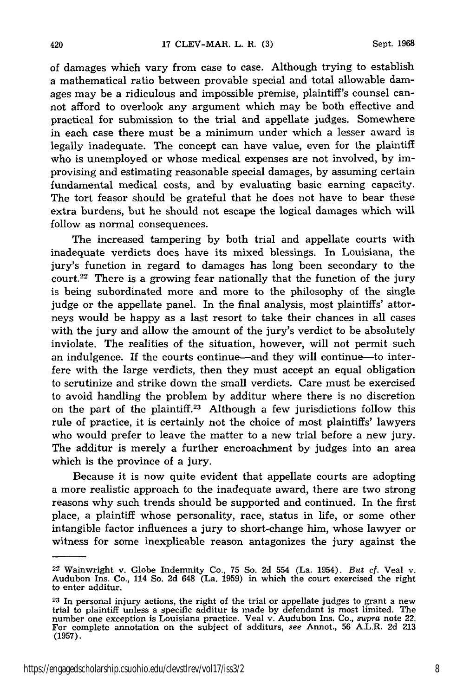420

of damages which vary from case to case. Although trying to establish a mathematical ratio between provable special and total allowable damages may be a ridiculous and impossible premise, plaintiff's counsel cannot afford to overlook any argument which may be both effective and practical for submission to the trial and appellate judges. Somewhere in each case there must be a minimum under which a lesser award is legally inadequate. The concept can have value, even for the plaintiff who is unemployed or whose medical expenses are not involved, by improvising and estimating reasonable special damages, by assuming certain fundamental medical costs, and by evaluating basic earning capacity. The tort feasor should be grateful that he does not have to bear these extra burdens, but he should not escape the logical damages which will follow as normal consequences.

The increased tampering by both trial and appellate courts with inadequate verdicts does have its mixed blessings. In Louisiana, the jury's function in regard to damages has long been secondary to the court.22 There is a growing fear nationally that the function of the jury is being subordinated more and more to the philosophy of the single judge or the appellate panel. In the final analysis, most plaintiffs' attorneys would be happy as a last resort to take their chances in all cases with the jury and allow the amount of the jury's verdict to be absolutely inviolate. The realities of the situation, however, will not permit such an indulgence. If the courts continue-and they will continue-to interfere with the large verdicts, then they must accept an equal obligation to scrutinize and strike down the small verdicts. Care must be exercised to avoid handling the problem by additur where there is no discretion on the part of the plaintiff.<sup>23</sup> Although a few jurisdictions follow this rule of practice, it is certainly not the choice of most plaintiffs' lawyers who would prefer to leave the matter to a new trial before a new jury. The additur is merely a further encroachment by judges into an area which is the province of a jury.

Because it is now quite evident that appellate courts are adopting a more realistic approach to the inadequate award, there are two strong reasons why such trends should be supported and continued. In the first place, a plaintiff whose personality, race, status in life, or some other intangible factor influences a jury to short-change him, whose lawyer or witness for some inexplicable reason antagonizes the jury against the

**<sup>22</sup>**Wainwright v. Globe Indemnity Co., 75 So. 2d 554 (La. 1954). *But cf.* Veal v. Audubon Ins. Co., 114 So. 2d 648 (La. 1959) in which the court exercised the right to enter additur.

**<sup>23</sup>**In personal injury actions, the right of the trial or appellate judges to grant a new trial to plaintiff unless a specific additur is made by defendant is most limited. The number one exception is Louisiana practice. Veal v. Audubon Ins. Co., *supra* note 22 For complete annotation on the subject of additur (1957).